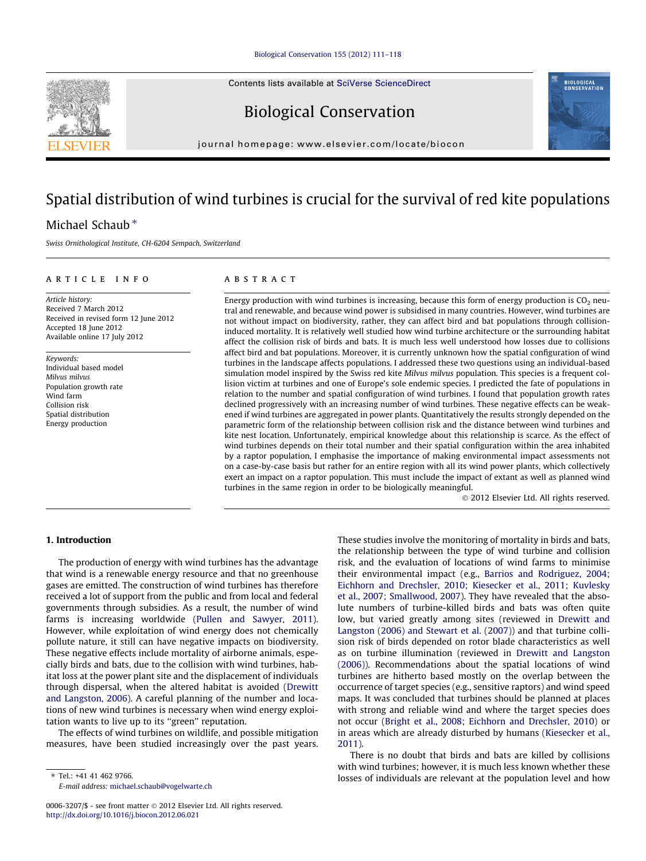Contents lists available at [SciVerse ScienceDirect](http://www.sciencedirect.com/science/journal/00063207)



# Biological Conservation

journal homepage: [www.elsevier.com/locate/biocon](http://www.elsevier.com/locate/biocon)

# Spatial distribution of wind turbines is crucial for the survival of red kite populations

# Michael Schaub<sup>\*</sup>

Swiss Ornithological Institute, CH-6204 Sempach, Switzerland

# article info

Article history: Received 7 March 2012 Received in revised form 12 June 2012 Accepted 18 June 2012 Available online 17 July 2012

Keywords: Individual based model Milvus milvus Population growth rate Wind farm Collision risk Spatial distribution Energy production

# **ABSTRACT**

Energy production with wind turbines is increasing, because this form of energy production is  $CO<sub>2</sub>$  neutral and renewable, and because wind power is subsidised in many countries. However, wind turbines are not without impact on biodiversity, rather, they can affect bird and bat populations through collisioninduced mortality. It is relatively well studied how wind turbine architecture or the surrounding habitat affect the collision risk of birds and bats. It is much less well understood how losses due to collisions affect bird and bat populations. Moreover, it is currently unknown how the spatial configuration of wind turbines in the landscape affects populations. I addressed these two questions using an individual-based simulation model inspired by the Swiss red kite Milvus milvus population. This species is a frequent collision victim at turbines and one of Europe's sole endemic species. I predicted the fate of populations in relation to the number and spatial configuration of wind turbines. I found that population growth rates declined progressively with an increasing number of wind turbines. These negative effects can be weakened if wind turbines are aggregated in power plants. Quantitatively the results strongly depended on the parametric form of the relationship between collision risk and the distance between wind turbines and kite nest location. Unfortunately, empirical knowledge about this relationship is scarce. As the effect of wind turbines depends on their total number and their spatial configuration within the area inhabited by a raptor population, I emphasise the importance of making environmental impact assessments not on a case-by-case basis but rather for an entire region with all its wind power plants, which collectively exert an impact on a raptor population. This must include the impact of extant as well as planned wind turbines in the same region in order to be biologically meaningful.

- 2012 Elsevier Ltd. All rights reserved.

**BIOLOGICAL**<br>CONSERVATION

# 1. Introduction

The production of energy with wind turbines has the advantage that wind is a renewable energy resource and that no greenhouse gases are emitted. The construction of wind turbines has therefore received a lot of support from the public and from local and federal governments through subsidies. As a result, the number of wind farms is increasing worldwide [\(Pullen and Sawyer, 2011\)](#page-7-0). However, while exploitation of wind energy does not chemically pollute nature, it still can have negative impacts on biodiversity. These negative effects include mortality of airborne animals, especially birds and bats, due to the collision with wind turbines, habitat loss at the power plant site and the displacement of individuals through dispersal, when the altered habitat is avoided ([Drewitt](#page-7-0) [and Langston, 2006](#page-7-0)). A careful planning of the number and locations of new wind turbines is necessary when wind energy exploitation wants to live up to its ''green'' reputation.

The effects of wind turbines on wildlife, and possible mitigation measures, have been studied increasingly over the past years.

 $*$  Tel: +41 41 462 9766 E-mail address: [michael.schaub@vogelwarte.ch](mailto:michael.schaub@vogelwarte.ch) These studies involve the monitoring of mortality in birds and bats, the relationship between the type of wind turbine and collision risk, and the evaluation of locations of wind farms to minimise their environmental impact (e.g., [Barrios and Rodriguez, 2004;](#page-7-0) [Eichhorn and Drechsler, 2010; Kiesecker et al., 2011; Kuvlesky](#page-7-0) [et al., 2007; Smallwood, 2007\)](#page-7-0). They have revealed that the absolute numbers of turbine-killed birds and bats was often quite low, but varied greatly among sites (reviewed in [Drewitt and](#page-7-0) [Langston \(2006\) and Stewart et al. \(2007\)\)](#page-7-0) and that turbine collision risk of birds depended on rotor blade characteristics as well as on turbine illumination (reviewed in [Drewitt and Langston](#page-7-0) [\(2006\)](#page-7-0)). Recommendations about the spatial locations of wind turbines are hitherto based mostly on the overlap between the occurrence of target species (e.g., sensitive raptors) and wind speed maps. It was concluded that turbines should be planned at places with strong and reliable wind and where the target species does not occur [\(Bright et al., 2008; Eichhorn and Drechsler, 2010\)](#page-7-0) or in areas which are already disturbed by humans [\(Kiesecker et al.,](#page-7-0) [2011](#page-7-0)).

There is no doubt that birds and bats are killed by collisions with wind turbines; however, it is much less known whether these losses of individuals are relevant at the population level and how

<sup>0006-3207/\$ -</sup> see front matter © 2012 Elsevier Ltd. All rights reserved. <http://dx.doi.org/10.1016/j.biocon.2012.06.021>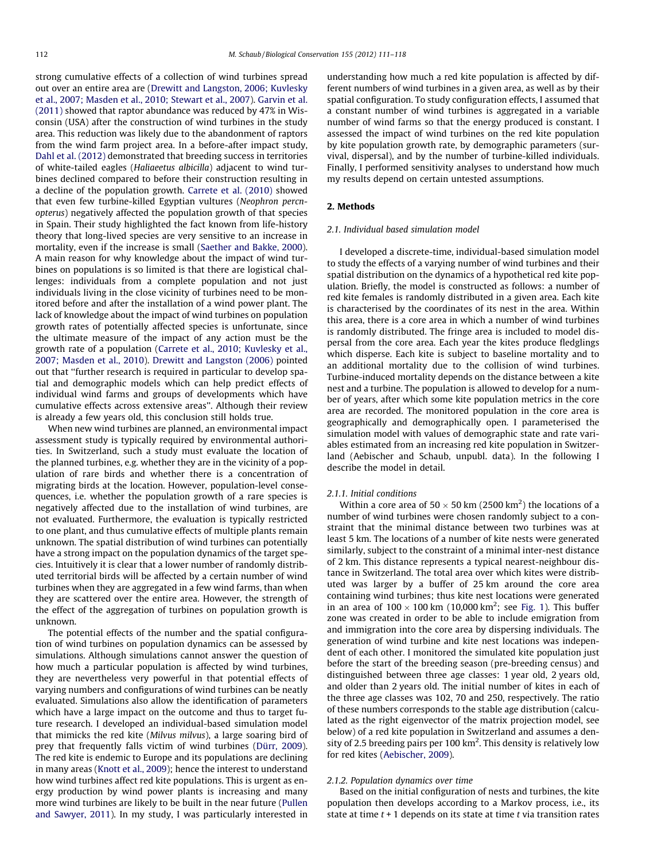<span id="page-1-0"></span>strong cumulative effects of a collection of wind turbines spread out over an entire area are [\(Drewitt and Langston, 2006; Kuvlesky](#page-7-0) [et al., 2007; Masden et al., 2010; Stewart et al., 2007\)](#page-7-0). [Garvin et al.](#page-7-0) [\(2011\)](#page-7-0) showed that raptor abundance was reduced by 47% in Wisconsin (USA) after the construction of wind turbines in the study area. This reduction was likely due to the abandonment of raptors from the wind farm project area. In a before-after impact study, [Dahl et al. \(2012\)](#page-7-0) demonstrated that breeding success in territories of white-tailed eagles (Haliaeetus albicilla) adjacent to wind turbines declined compared to before their construction resulting in a decline of the population growth. [Carrete et al. \(2010\)](#page-7-0) showed that even few turbine-killed Egyptian vultures (Neophron percnopterus) negatively affected the population growth of that species in Spain. Their study highlighted the fact known from life-history theory that long-lived species are very sensitive to an increase in mortality, even if the increase is small [\(Saether and Bakke, 2000\)](#page-7-0). A main reason for why knowledge about the impact of wind turbines on populations is so limited is that there are logistical challenges: individuals from a complete population and not just individuals living in the close vicinity of turbines need to be monitored before and after the installation of a wind power plant. The lack of knowledge about the impact of wind turbines on population growth rates of potentially affected species is unfortunate, since the ultimate measure of the impact of any action must be the growth rate of a population [\(Carrete et al., 2010; Kuvlesky et al.,](#page-7-0) [2007; Masden et al., 2010\)](#page-7-0). [Drewitt and Langston \(2006\)](#page-7-0) pointed out that ''further research is required in particular to develop spatial and demographic models which can help predict effects of individual wind farms and groups of developments which have cumulative effects across extensive areas''. Although their review is already a few years old, this conclusion still holds true.

When new wind turbines are planned, an environmental impact assessment study is typically required by environmental authorities. In Switzerland, such a study must evaluate the location of the planned turbines, e.g. whether they are in the vicinity of a population of rare birds and whether there is a concentration of migrating birds at the location. However, population-level consequences, i.e. whether the population growth of a rare species is negatively affected due to the installation of wind turbines, are not evaluated. Furthermore, the evaluation is typically restricted to one plant, and thus cumulative effects of multiple plants remain unknown. The spatial distribution of wind turbines can potentially have a strong impact on the population dynamics of the target species. Intuitively it is clear that a lower number of randomly distributed territorial birds will be affected by a certain number of wind turbines when they are aggregated in a few wind farms, than when they are scattered over the entire area. However, the strength of the effect of the aggregation of turbines on population growth is unknown.

The potential effects of the number and the spatial configuration of wind turbines on population dynamics can be assessed by simulations. Although simulations cannot answer the question of how much a particular population is affected by wind turbines, they are nevertheless very powerful in that potential effects of varying numbers and configurations of wind turbines can be neatly evaluated. Simulations also allow the identification of parameters which have a large impact on the outcome and thus to target future research. I developed an individual-based simulation model that mimicks the red kite (Milvus milvus), a large soaring bird of prey that frequently falls victim of wind turbines ([Dürr, 2009\)](#page-7-0). The red kite is endemic to Europe and its populations are declining in many areas [\(Knott et al., 2009\)](#page-7-0); hence the interest to understand how wind turbines affect red kite populations. This is urgent as energy production by wind power plants is increasing and many more wind turbines are likely to be built in the near future [\(Pullen](#page-7-0) [and Sawyer, 2011](#page-7-0)). In my study, I was particularly interested in understanding how much a red kite population is affected by different numbers of wind turbines in a given area, as well as by their spatial configuration. To study configuration effects, I assumed that a constant number of wind turbines is aggregated in a variable number of wind farms so that the energy produced is constant. I assessed the impact of wind turbines on the red kite population by kite population growth rate, by demographic parameters (survival, dispersal), and by the number of turbine-killed individuals. Finally, I performed sensitivity analyses to understand how much my results depend on certain untested assumptions.

# 2. Methods

#### 2.1. Individual based simulation model

I developed a discrete-time, individual-based simulation model to study the effects of a varying number of wind turbines and their spatial distribution on the dynamics of a hypothetical red kite population. Briefly, the model is constructed as follows: a number of red kite females is randomly distributed in a given area. Each kite is characterised by the coordinates of its nest in the area. Within this area, there is a core area in which a number of wind turbines is randomly distributed. The fringe area is included to model dispersal from the core area. Each year the kites produce fledglings which disperse. Each kite is subject to baseline mortality and to an additional mortality due to the collision of wind turbines. Turbine-induced mortality depends on the distance between a kite nest and a turbine. The population is allowed to develop for a number of years, after which some kite population metrics in the core area are recorded. The monitored population in the core area is geographically and demographically open. I parameterised the simulation model with values of demographic state and rate variables estimated from an increasing red kite population in Switzerland (Aebischer and Schaub, unpubl. data). In the following I describe the model in detail.

## 2.1.1. Initial conditions

Within a core area of  $50 \times 50$  km (2500 km<sup>2</sup>) the locations of a number of wind turbines were chosen randomly subject to a constraint that the minimal distance between two turbines was at least 5 km. The locations of a number of kite nests were generated similarly, subject to the constraint of a minimal inter-nest distance of 2 km. This distance represents a typical nearest-neighbour distance in Switzerland. The total area over which kites were distributed was larger by a buffer of 25 km around the core area containing wind turbines; thus kite nest locations were generated in an area of  $100 \times 100$  km (10,000 km<sup>2</sup>; see [Fig. 1](#page-2-0)). This buffer zone was created in order to be able to include emigration from and immigration into the core area by dispersing individuals. The generation of wind turbine and kite nest locations was independent of each other. I monitored the simulated kite population just before the start of the breeding season (pre-breeding census) and distinguished between three age classes: 1 year old, 2 years old, and older than 2 years old. The initial number of kites in each of the three age classes was 102, 70 and 250, respectively. The ratio of these numbers corresponds to the stable age distribution (calculated as the right eigenvector of the matrix projection model, see below) of a red kite population in Switzerland and assumes a density of 2.5 breeding pairs per 100  $km<sup>2</sup>$ . This density is relatively low for red kites ([Aebischer, 2009](#page-7-0)).

#### 2.1.2. Population dynamics over time

Based on the initial configuration of nests and turbines, the kite population then develops according to a Markov process, i.e., its state at time  $t + 1$  depends on its state at time  $t$  via transition rates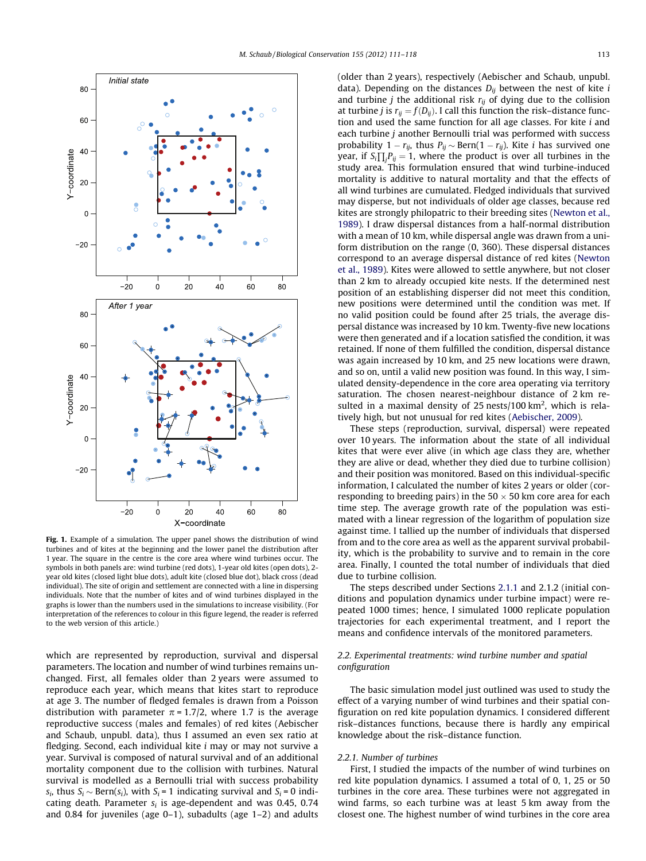<span id="page-2-0"></span>

Fig. 1. Example of a simulation. The upper panel shows the distribution of wind turbines and of kites at the beginning and the lower panel the distribution after 1 year. The square in the centre is the core area where wind turbines occur. The symbols in both panels are: wind turbine (red dots), 1-year old kites (open dots), 2 year old kites (closed light blue dots), adult kite (closed blue dot), black cross (dead individual). The site of origin and settlement are connected with a line in dispersing individuals. Note that the number of kites and of wind turbines displayed in the graphs is lower than the numbers used in the simulations to increase visibility. (For interpretation of the references to colour in this figure legend, the reader is referred to the web version of this article.)

which are represented by reproduction, survival and dispersal parameters. The location and number of wind turbines remains unchanged. First, all females older than 2 years were assumed to reproduce each year, which means that kites start to reproduce at age 3. The number of fledged females is drawn from a Poisson distribution with parameter  $\pi = 1.7/2$ , where 1.7 is the average reproductive success (males and females) of red kites (Aebischer and Schaub, unpubl. data), thus I assumed an even sex ratio at fledging. Second, each individual kite i may or may not survive a year. Survival is composed of natural survival and of an additional mortality component due to the collision with turbines. Natural survival is modelled as a Bernoulli trial with success probability  $s_i$ , thus  $S_i \sim \text{Bern}(s_i)$ , with  $S_i = 1$  indicating survival and  $S_i = 0$  indicating death. Parameter  $s_i$  is age-dependent and was 0.45, 0.74 and 0.84 for juveniles (age 0–1), subadults (age 1–2) and adults (older than 2 years), respectively (Aebischer and Schaub, unpubl. data). Depending on the distances  $D_{ii}$  between the nest of kite i and turbine *j* the additional risk  $r_{ii}$  of dying due to the collision at turbine *j* is  $r_{ii} = f(D_{ii})$ . I call this function the risk–distance function and used the same function for all age classes. For kite  $i$  and each turbine *j* another Bernoulli trial was performed with success probability  $1 - r_{ij}$ , thus  $P_{ij} \sim \text{Bern}(1 - r_{ij})$ . Kite *i* has survived one year, if  $S_i \prod_j P_{ij} = 1$ , where the product is over all turbines in the study area. This formulation ensured that wind turbine-induced mortality is additive to natural mortality and that the effects of all wind turbines are cumulated. Fledged individuals that survived may disperse, but not individuals of older age classes, because red kites are strongly philopatric to their breeding sites [\(Newton et al.,](#page-7-0) [1989\)](#page-7-0). I draw dispersal distances from a half-normal distribution with a mean of 10 km, while dispersal angle was drawn from a uniform distribution on the range (0, 360). These dispersal distances correspond to an average dispersal distance of red kites ([Newton](#page-7-0) [et al., 1989](#page-7-0)). Kites were allowed to settle anywhere, but not closer than 2 km to already occupied kite nests. If the determined nest position of an establishing disperser did not meet this condition, new positions were determined until the condition was met. If no valid position could be found after 25 trials, the average dispersal distance was increased by 10 km. Twenty-five new locations were then generated and if a location satisfied the condition, it was retained. If none of them fulfilled the condition, dispersal distance was again increased by 10 km, and 25 new locations were drawn, and so on, until a valid new position was found. In this way, I simulated density-dependence in the core area operating via territory saturation. The chosen nearest-neighbour distance of 2 km resulted in a maximal density of  $25$  nests/100 km<sup>2</sup>, which is relatively high, but not unusual for red kites [\(Aebischer, 2009](#page-7-0)).

These steps (reproduction, survival, dispersal) were repeated over 10 years. The information about the state of all individual kites that were ever alive (in which age class they are, whether they are alive or dead, whether they died due to turbine collision) and their position was monitored. Based on this individual-specific information, I calculated the number of kites 2 years or older (corresponding to breeding pairs) in the 50  $\times$  50 km core area for each time step. The average growth rate of the population was estimated with a linear regression of the logarithm of population size against time. I tallied up the number of individuals that dispersed from and to the core area as well as the apparent survival probability, which is the probability to survive and to remain in the core area. Finally, I counted the total number of individuals that died due to turbine collision.

The steps described under Sections [2.1.1](#page-1-0) and 2.1.2 (initial conditions and population dynamics under turbine impact) were repeated 1000 times; hence, I simulated 1000 replicate population trajectories for each experimental treatment, and I report the means and confidence intervals of the monitored parameters.

# 2.2. Experimental treatments: wind turbine number and spatial configuration

The basic simulation model just outlined was used to study the effect of a varying number of wind turbines and their spatial configuration on red kite population dynamics. I considered different risk–distances functions, because there is hardly any empirical knowledge about the risk–distance function.

# 2.2.1. Number of turbines

First, I studied the impacts of the number of wind turbines on red kite population dynamics. I assumed a total of 0, 1, 25 or 50 turbines in the core area. These turbines were not aggregated in wind farms, so each turbine was at least 5 km away from the closest one. The highest number of wind turbines in the core area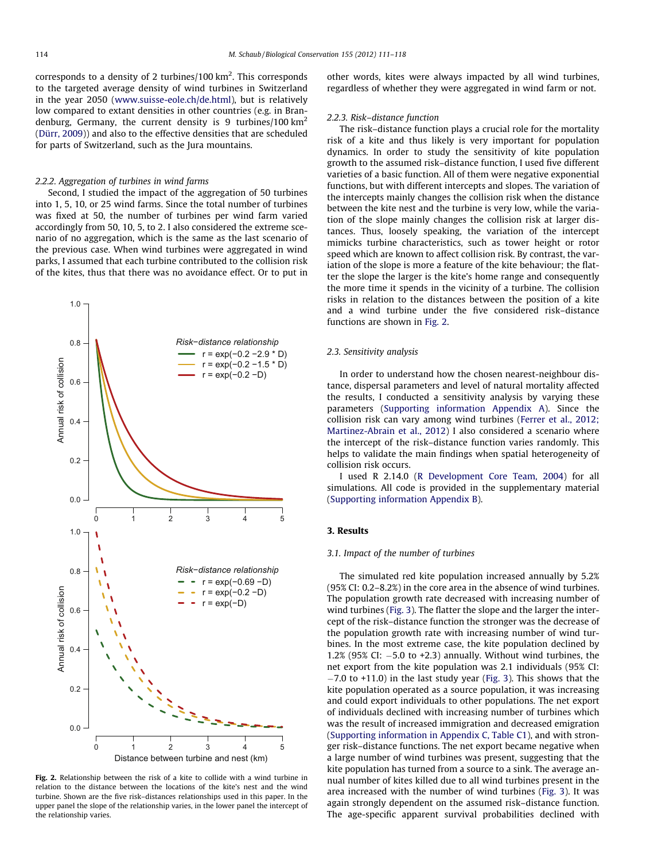corresponds to a density of 2 turbines/100 km<sup>2</sup>. This corresponds to the targeted average density of wind turbines in Switzerland in the year 2050 ([www.suisse-eole.ch/de.html](http://www.suisse-eole.ch/de.html)), but is relatively low compared to extant densities in other countries (e.g. in Brandenburg, Germany, the current density is 9 turbines/100  $\text{km}^2$ ([Dürr, 2009](#page-7-0))) and also to the effective densities that are scheduled for parts of Switzerland, such as the Jura mountains.

# 2.2.2. Aggregation of turbines in wind farms

Second, I studied the impact of the aggregation of 50 turbines into 1, 5, 10, or 25 wind farms. Since the total number of turbines was fixed at 50, the number of turbines per wind farm varied accordingly from 50, 10, 5, to 2. I also considered the extreme scenario of no aggregation, which is the same as the last scenario of the previous case. When wind turbines were aggregated in wind parks, I assumed that each turbine contributed to the collision risk of the kites, thus that there was no avoidance effect. Or to put in



Fig. 2. Relationship between the risk of a kite to collide with a wind turbine in relation to the distance between the locations of the kite's nest and the wind turbine. Shown are the five risk–distances relationships used in this paper. In the upper panel the slope of the relationship varies, in the lower panel the intercept of the relationship varies.

other words, kites were always impacted by all wind turbines, regardless of whether they were aggregated in wind farm or not.

#### 2.2.3. Risk–distance function

The risk–distance function plays a crucial role for the mortality risk of a kite and thus likely is very important for population dynamics. In order to study the sensitivity of kite population growth to the assumed risk–distance function, I used five different varieties of a basic function. All of them were negative exponential functions, but with different intercepts and slopes. The variation of the intercepts mainly changes the collision risk when the distance between the kite nest and the turbine is very low, while the variation of the slope mainly changes the collision risk at larger distances. Thus, loosely speaking, the variation of the intercept mimicks turbine characteristics, such as tower height or rotor speed which are known to affect collision risk. By contrast, the variation of the slope is more a feature of the kite behaviour; the flatter the slope the larger is the kite's home range and consequently the more time it spends in the vicinity of a turbine. The collision risks in relation to the distances between the position of a kite and a wind turbine under the five considered risk–distance functions are shown in Fig. 2.

#### 2.3. Sensitivity analysis

In order to understand how the chosen nearest-neighbour distance, dispersal parameters and level of natural mortality affected the results, I conducted a sensitivity analysis by varying these parameters (Supporting information Appendix A). Since the collision risk can vary among wind turbines [\(Ferrer et al., 2012;](#page-7-0) [Martinez-Abrain et al., 2012](#page-7-0)) I also considered a scenario where the intercept of the risk–distance function varies randomly. This helps to validate the main findings when spatial heterogeneity of collision risk occurs.

I used R 2.14.0 [\(R Development Core Team, 2004\)](#page-7-0) for all simulations. All code is provided in the supplementary material (Supporting information Appendix B).

## 3. Results

# 3.1. Impact of the number of turbines

The simulated red kite population increased annually by 5.2% (95% CI: 0.2–8.2%) in the core area in the absence of wind turbines. The population growth rate decreased with increasing number of wind turbines [\(Fig. 3](#page-4-0)). The flatter the slope and the larger the intercept of the risk–distance function the stronger was the decrease of the population growth rate with increasing number of wind turbines. In the most extreme case, the kite population declined by 1.2% (95% CI:  $-5.0$  to  $+2.3$ ) annually. Without wind turbines, the net export from the kite population was 2.1 individuals (95% CI:  $-7.0$  to  $+11.0$ ) in the last study year [\(Fig. 3\)](#page-4-0). This shows that the kite population operated as a source population, it was increasing and could export individuals to other populations. The net export of individuals declined with increasing number of turbines which was the result of increased immigration and decreased emigration (Supporting information in Appendix C, Table C1), and with stronger risk–distance functions. The net export became negative when a large number of wind turbines was present, suggesting that the kite population has turned from a source to a sink. The average annual number of kites killed due to all wind turbines present in the area increased with the number of wind turbines ([Fig. 3\)](#page-4-0). It was again strongly dependent on the assumed risk–distance function. The age-specific apparent survival probabilities declined with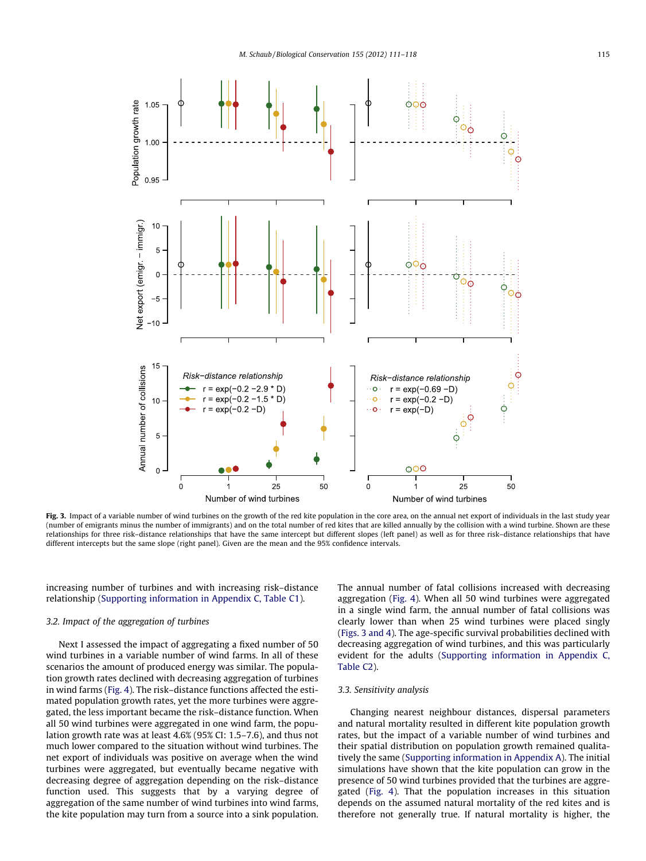<span id="page-4-0"></span>

Fig. 3. Impact of a variable number of wind turbines on the growth of the red kite population in the core area, on the annual net export of individuals in the last study year (number of emigrants minus the number of immigrants) and on the total number of red kites that are killed annually by the collision with a wind turbine. Shown are these relationships for three risk–distance relationships that have the same intercept but different slopes (left panel) as well as for three risk–distance relationships that have different intercepts but the same slope (right panel). Given are the mean and the 95% confidence intervals.

increasing number of turbines and with increasing risk–distance relationship (Supporting information in Appendix C, Table C1).

#### 3.2. Impact of the aggregation of turbines

Next I assessed the impact of aggregating a fixed number of 50 wind turbines in a variable number of wind farms. In all of these scenarios the amount of produced energy was similar. The population growth rates declined with decreasing aggregation of turbines in wind farms [\(Fig. 4](#page-5-0)). The risk–distance functions affected the estimated population growth rates, yet the more turbines were aggregated, the less important became the risk–distance function. When all 50 wind turbines were aggregated in one wind farm, the population growth rate was at least 4.6% (95% CI: 1.5–7.6), and thus not much lower compared to the situation without wind turbines. The net export of individuals was positive on average when the wind turbines were aggregated, but eventually became negative with decreasing degree of aggregation depending on the risk–distance function used. This suggests that by a varying degree of aggregation of the same number of wind turbines into wind farms, the kite population may turn from a source into a sink population. The annual number of fatal collisions increased with decreasing aggregation [\(Fig. 4](#page-5-0)). When all 50 wind turbines were aggregated in a single wind farm, the annual number of fatal collisions was clearly lower than when 25 wind turbines were placed singly (Figs. 3 and 4). The age-specific survival probabilities declined with decreasing aggregation of wind turbines, and this was particularly evident for the adults (Supporting information in Appendix C, Table C2).

# 3.3. Sensitivity analysis

Changing nearest neighbour distances, dispersal parameters and natural mortality resulted in different kite population growth rates, but the impact of a variable number of wind turbines and their spatial distribution on population growth remained qualitatively the same (Supporting information in Appendix A). The initial simulations have shown that the kite population can grow in the presence of 50 wind turbines provided that the turbines are aggregated [\(Fig. 4](#page-5-0)). That the population increases in this situation depends on the assumed natural mortality of the red kites and is therefore not generally true. If natural mortality is higher, the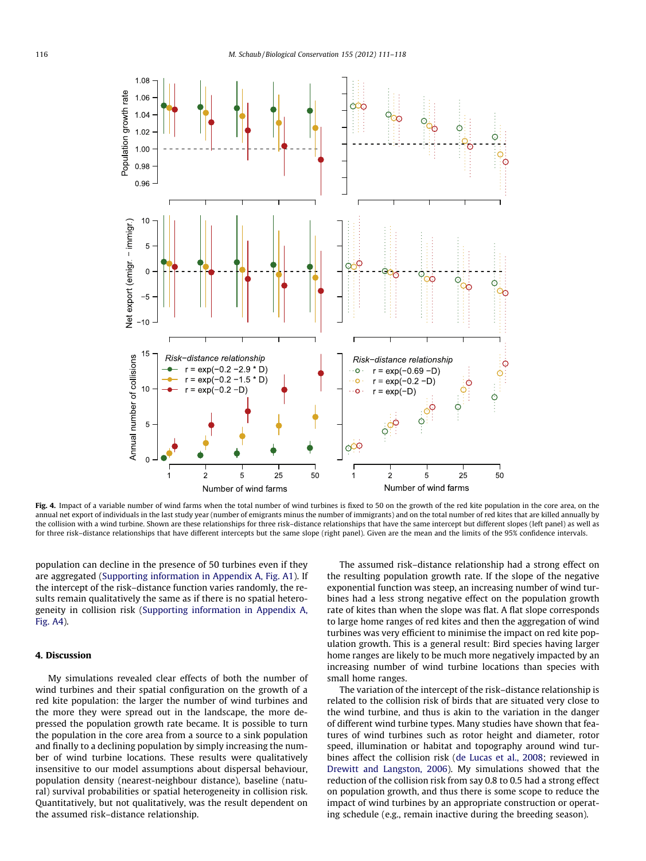<span id="page-5-0"></span>

Fig. 4. Impact of a variable number of wind farms when the total number of wind turbines is fixed to 50 on the growth of the red kite population in the core area, on the annual net export of individuals in the last study year (number of emigrants minus the number of immigrants) and on the total number of red kites that are killed annually by the collision with a wind turbine. Shown are these relationships for three risk–distance relationships that have the same intercept but different slopes (left panel) as well as for three risk–distance relationships that have different intercepts but the same slope (right panel). Given are the mean and the limits of the 95% confidence intervals.

population can decline in the presence of 50 turbines even if they are aggregated (Supporting information in Appendix A, Fig. A1). If the intercept of the risk–distance function varies randomly, the results remain qualitatively the same as if there is no spatial heterogeneity in collision risk (Supporting information in Appendix A, Fig. A4).

# 4. Discussion

My simulations revealed clear effects of both the number of wind turbines and their spatial configuration on the growth of a red kite population: the larger the number of wind turbines and the more they were spread out in the landscape, the more depressed the population growth rate became. It is possible to turn the population in the core area from a source to a sink population and finally to a declining population by simply increasing the number of wind turbine locations. These results were qualitatively insensitive to our model assumptions about dispersal behaviour, population density (nearest-neighbour distance), baseline (natural) survival probabilities or spatial heterogeneity in collision risk. Quantitatively, but not qualitatively, was the result dependent on the assumed risk–distance relationship.

The assumed risk–distance relationship had a strong effect on the resulting population growth rate. If the slope of the negative exponential function was steep, an increasing number of wind turbines had a less strong negative effect on the population growth rate of kites than when the slope was flat. A flat slope corresponds to large home ranges of red kites and then the aggregation of wind turbines was very efficient to minimise the impact on red kite population growth. This is a general result: Bird species having larger home ranges are likely to be much more negatively impacted by an increasing number of wind turbine locations than species with small home ranges.

The variation of the intercept of the risk–distance relationship is related to the collision risk of birds that are situated very close to the wind turbine, and thus is akin to the variation in the danger of different wind turbine types. Many studies have shown that features of wind turbines such as rotor height and diameter, rotor speed, illumination or habitat and topography around wind turbines affect the collision risk ([de Lucas et al., 2008;](#page-7-0) reviewed in [Drewitt and Langston, 2006\)](#page-7-0). My simulations showed that the reduction of the collision risk from say 0.8 to 0.5 had a strong effect on population growth, and thus there is some scope to reduce the impact of wind turbines by an appropriate construction or operating schedule (e.g., remain inactive during the breeding season).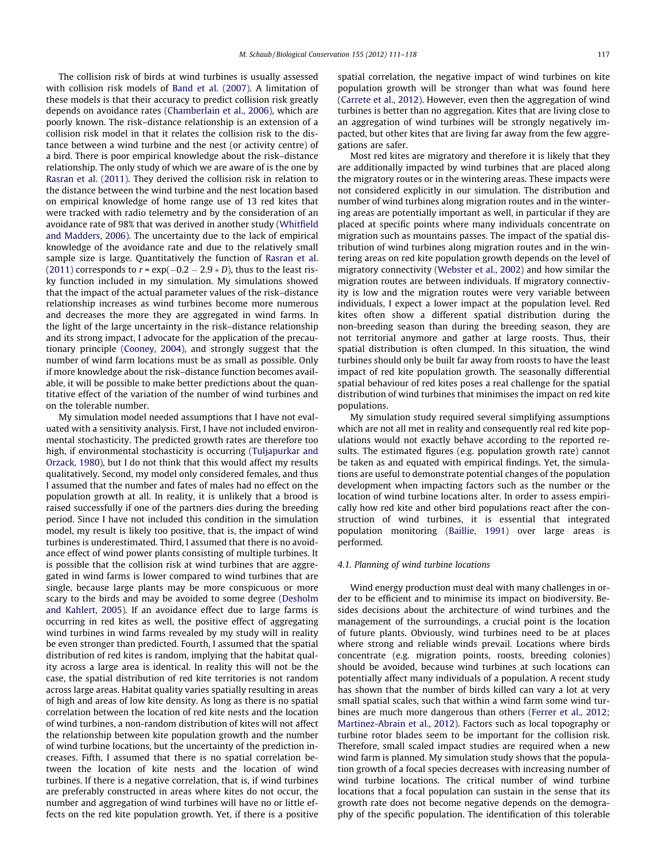The collision risk of birds at wind turbines is usually assessed with collision risk models of [Band et al. \(2007\)](#page-7-0). A limitation of these models is that their accuracy to predict collision risk greatly depends on avoidance rates ([Chamberlain et al., 2006\)](#page-7-0), which are poorly known. The risk–distance relationship is an extension of a collision risk model in that it relates the collision risk to the distance between a wind turbine and the nest (or activity centre) of a bird. There is poor empirical knowledge about the risk–distance relationship. The only study of which we are aware of is the one by [Rasran et al. \(2011\)](#page-7-0). They derived the collision risk in relation to the distance between the wind turbine and the nest location based on empirical knowledge of home range use of 13 red kites that were tracked with radio telemetry and by the consideration of an avoidance rate of 98% that was derived in another study ([Whitfield](#page-7-0) [and Madders, 2006\)](#page-7-0). The uncertainty due to the lack of empirical knowledge of the avoidance rate and due to the relatively small sample size is large. Quantitatively the function of [Rasran et al.](#page-7-0) [\(2011\)](#page-7-0) corresponds to  $r = \exp(-0.2 - 2.9 * D)$ , thus to the least risky function included in my simulation. My simulations showed that the impact of the actual parameter values of the risk–distance relationship increases as wind turbines become more numerous and decreases the more they are aggregated in wind farms. In the light of the large uncertainty in the risk–distance relationship and its strong impact, I advocate for the application of the precautionary principle [\(Cooney, 2004](#page-7-0)), and strongly suggest that the number of wind farm locations must be as small as possible. Only if more knowledge about the risk–distance function becomes available, it will be possible to make better predictions about the quantitative effect of the variation of the number of wind turbines and on the tolerable number.

My simulation model needed assumptions that I have not evaluated with a sensitivity analysis. First, I have not included environmental stochasticity. The predicted growth rates are therefore too high, if environmental stochasticity is occurring ([Tuljapurkar and](#page-7-0) [Orzack, 1980\)](#page-7-0), but I do not think that this would affect my results qualitatively. Second, my model only considered females, and thus I assumed that the number and fates of males had no effect on the population growth at all. In reality, it is unlikely that a brood is raised successfully if one of the partners dies during the breeding period. Since I have not included this condition in the simulation model, my result is likely too positive, that is, the impact of wind turbines is underestimated. Third, I assumed that there is no avoidance effect of wind power plants consisting of multiple turbines. It is possible that the collision risk at wind turbines that are aggregated in wind farms is lower compared to wind turbines that are single, because large plants may be more conspicuous or more scary to the birds and may be avoided to some degree [\(Desholm](#page-7-0) [and Kahlert, 2005\)](#page-7-0). If an avoidance effect due to large farms is occurring in red kites as well, the positive effect of aggregating wind turbines in wind farms revealed by my study will in reality be even stronger than predicted. Fourth, I assumed that the spatial distribution of red kites is random, implying that the habitat quality across a large area is identical. In reality this will not be the case, the spatial distribution of red kite territories is not random across large areas. Habitat quality varies spatially resulting in areas of high and areas of low kite density. As long as there is no spatial correlation between the location of red kite nests and the location of wind turbines, a non-random distribution of kites will not affect the relationship between kite population growth and the number of wind turbine locations, but the uncertainty of the prediction increases. Fifth, I assumed that there is no spatial correlation between the location of kite nests and the location of wind turbines. If there is a negative correlation, that is, if wind turbines are preferably constructed in areas where kites do not occur, the number and aggregation of wind turbines will have no or little effects on the red kite population growth. Yet, if there is a positive spatial correlation, the negative impact of wind turbines on kite population growth will be stronger than what was found here ([Carrete et al., 2012](#page-7-0)). However, even then the aggregation of wind turbines is better than no aggregation. Kites that are living close to an aggregation of wind turbines will be strongly negatively impacted, but other kites that are living far away from the few aggregations are safer.

Most red kites are migratory and therefore it is likely that they are additionally impacted by wind turbines that are placed along the migratory routes or in the wintering areas. These impacts were not considered explicitly in our simulation. The distribution and number of wind turbines along migration routes and in the wintering areas are potentially important as well, in particular if they are placed at specific points where many individuals concentrate on migration such as mountains passes. The impact of the spatial distribution of wind turbines along migration routes and in the wintering areas on red kite population growth depends on the level of migratory connectivity ([Webster et al., 2002](#page-7-0)) and how similar the migration routes are between individuals. If migratory connectivity is low and the migration routes were very variable between individuals, I expect a lower impact at the population level. Red kites often show a different spatial distribution during the non-breeding season than during the breeding season, they are not territorial anymore and gather at large roosts. Thus, their spatial distribution is often clumped. In this situation, the wind turbines should only be built far away from roosts to have the least impact of red kite population growth. The seasonally differential spatial behaviour of red kites poses a real challenge for the spatial distribution of wind turbines that minimises the impact on red kite populations.

My simulation study required several simplifying assumptions which are not all met in reality and consequently real red kite populations would not exactly behave according to the reported results. The estimated figures (e.g. population growth rate) cannot be taken as and equated with empirical findings. Yet, the simulations are useful to demonstrate potential changes of the population development when impacting factors such as the number or the location of wind turbine locations alter. In order to assess empirically how red kite and other bird populations react after the construction of wind turbines, it is essential that integrated population monitoring [\(Baillie, 1991](#page-7-0)) over large areas is performed.

#### 4.1. Planning of wind turbine locations

Wind energy production must deal with many challenges in order to be efficient and to minimise its impact on biodiversity. Besides decisions about the architecture of wind turbines and the management of the surroundings, a crucial point is the location of future plants. Obviously, wind turbines need to be at places where strong and reliable winds prevail. Locations where birds concentrate (e.g. migration points, roosts, breeding colonies) should be avoided, because wind turbines at such locations can potentially affect many individuals of a population. A recent study has shown that the number of birds killed can vary a lot at very small spatial scales, such that within a wind farm some wind turbines are much more dangerous than others ([Ferrer et al., 2012;](#page-7-0) [Martinez-Abrain et al., 2012](#page-7-0)). Factors such as local topography or turbine rotor blades seem to be important for the collision risk. Therefore, small scaled impact studies are required when a new wind farm is planned. My simulation study shows that the population growth of a focal species decreases with increasing number of wind turbine locations. The critical number of wind turbine locations that a focal population can sustain in the sense that its growth rate does not become negative depends on the demography of the specific population. The identification of this tolerable